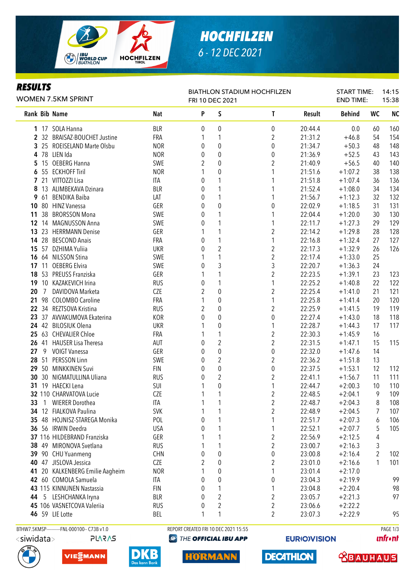

# *HOCHFILZEN 6 - 12 DEC 2021*

### *RESULTS*

| KESULIS |              | WOMEN 7.5KM SPRINT           |            |   | FRI 10 DEC 2021         | <b>BIATHLON STADIUM HOCHFILZEN</b> |         | <b>START TIME:</b><br><b>END TIME:</b> |           | 14:15<br>15:38 |
|---------|--------------|------------------------------|------------|---|-------------------------|------------------------------------|---------|----------------------------------------|-----------|----------------|
|         |              | Rank Bib Name                | Nat        | P | S                       | T                                  | Result  | <b>Behind</b>                          | <b>WC</b> | <b>NC</b>      |
|         |              | 1 17 SOLA Hanna              | <b>BLR</b> | 0 | 0                       | 0                                  | 20:44.4 | 0.0                                    | 60        | 160            |
|         |              | 2 32 BRAISAZ-BOUCHET Justine | FRA        | 1 | 1                       | $\overline{2}$                     | 21:31.2 | $+46.8$                                | 54        | 154            |
|         |              | 3 25 ROEISELAND Marte Olsbu  | <b>NOR</b> | 0 | $\pmb{0}$               | 0                                  | 21:34.7 | $+50.3$                                | 48        | 148            |
|         |              | 4 78 LIEN Ida                | <b>NOR</b> | 0 | $\boldsymbol{0}$        | $\boldsymbol{0}$                   | 21:36.9 | $+52.5$                                | 43        | 143            |
| 5.      |              | 15 OEBERG Hanna              | SWE        | 2 | 0                       | $\overline{2}$                     | 21:40.9 | $+56.5$                                | 40        | 140            |
| 6       |              | 55 ECKHOFF Tiril             | <b>NOR</b> |   | 0                       |                                    | 21:51.6 | $+1:07.2$                              | 38        | 138            |
|         |              | 7 21 VITTOZZI Lisa           | ITA        | 0 | 1                       |                                    | 21:51.8 | $+1:07.4$                              | 36        | 136            |
| 8       |              | 13 ALIMBEKAVA Dzinara        | <b>BLR</b> | 0 | 1                       |                                    | 21:52.4 | $+1:08.0$                              | 34        | 134            |
| 9       | 61           | <b>BENDIKA Baiba</b>         | LAT        | 0 | 1                       |                                    | 21:56.7 | $+1:12.3$                              | 32        | 132            |
| 10      |              | 80 HINZ Vanessa              | GER        | 0 | 0                       | 0                                  | 22:02.9 | $+1:18.5$                              | 31        | 131            |
| 11      | 38           | <b>BRORSSON Mona</b>         | SWE        | 0 | 1                       | 1                                  | 22:04.4 | $+1:20.0$                              | 30        | 130            |
|         |              | 12 14 MAGNUSSON Anna         | SWE        | 0 | 1                       | 1                                  | 22:11.7 | $+1:27.3$                              | 29        | 129            |
| 13      |              | 23 HERRMANN Denise           | GER        |   | 1                       | $\overline{2}$                     | 22:14.2 | $+1:29.8$                              | 28        | 128            |
|         |              | 14 28 BESCOND Anais          | FRA        | 0 | $\mathbf{1}$            | 1                                  | 22:16.8 | $+1:32.4$                              | 27        | 127            |
| 15      |              | 57 DZHIMA Yuliia             | <b>UKR</b> | 0 | $\overline{2}$          | $\overline{2}$                     | 22:17.3 | $+1:32.9$                              | 26        | 126            |
|         |              | 16 64 NILSSON Stina          | SWE        |   | 1                       | $\overline{2}$                     | 22:17.4 | $+1:33.0$                              | 25        |                |
| 17      | 11           | <b>OEBERG Elvira</b>         | SWE        | 0 | 3                       | 3                                  | 22:20.7 | $+1:36.3$                              | 24        |                |
| 18      |              | 53 PREUSS Franziska          | GER        |   | 1                       | $\overline{2}$                     | 22:23.5 | $+1:39.1$                              | 23        | 123            |
| 19      |              | 10 KAZAKEVICH Irina          | <b>RUS</b> | 0 | 1                       | 1                                  | 22:25.2 | $+1:40.8$                              | 22        | 122            |
| 20      | 7            | DAVIDOVA Marketa             | <b>CZE</b> | 2 | $\boldsymbol{0}$        | $\overline{2}$                     | 22:25.4 | $+1:41.0$                              | 21        | 121            |
| 21      | 98           | <b>COLOMBO Caroline</b>      | FRA        |   | 0                       | 1                                  | 22:25.8 | $+1:41.4$                              | 20        | 120            |
| 22      |              | 34 REZTSOVA Kristina         | <b>RUS</b> | 2 | 0                       | $\overline{2}$                     | 22:25.9 | $+1:41.5$                              | 19        | 119            |
| 23      |              | 37 AVVAKUMOVA Ekaterina      | KOR        | 0 | 0                       | 0                                  | 22:27.4 | $+1:43.0$                              | 18        | 118            |
|         |              | 24 42 BILOSIUK Olena         | <b>UKR</b> |   | 0                       | 1                                  | 22:28.7 | $+1:44.3$                              | 17        | 117            |
|         |              | 25 63 CHEVALIER Chloe        | FRA        |   | 1                       | $\overline{2}$                     | 22:30.3 | $+1:45.9$                              | 16        |                |
|         |              | 26 41 HAUSER Lisa Theresa    | AUT        | 0 | $\overline{2}$          | $\overline{2}$                     | 22:31.5 | $+1:47.1$                              | 15        | 115            |
| 27      |              | 9 VOIGT Vanessa              | GER        | 0 | 0                       | $\boldsymbol{0}$                   | 22:32.0 | $+1:47.6$                              | 14        |                |
|         |              | 28 51 PERSSON Linn           | SWE        | 0 | 2                       | 2                                  | 22:36.2 | $+1:51.8$                              | 13        |                |
|         |              | 29 50 MINKKINEN Suvi         | <b>FIN</b> | 0 | 0                       | 0                                  | 22:37.5 | $+1:53.1$                              | 12        | 112            |
| 30      |              | 30 NIGMATULLINA Uliana       | <b>RUS</b> | 0 | $\overline{\mathbf{c}}$ | 2                                  | 22:41.1 | $+1:56.7$                              | 11        | 111            |
| 31      |              | 19 HAECKI Lena               | SUI        |   | 0                       |                                    | 22:44.7 | $+2:00.3$                              | 10        | 110            |
|         |              | 32 110 CHARVATOVA Lucie      | <b>CZE</b> |   | 1                       | $\overline{2}$                     | 22:48.5 | $+2:04.1$                              | 9         | 109            |
| 33      | $\mathbf{1}$ | <b>WIERER Dorothea</b>       | ITA        | 1 | 1                       | $\boldsymbol{2}$                   | 22:48.7 | $+2:04.3$                              | 8         | 108            |
|         |              | 34 12 FIALKOVA Paulina       | <b>SVK</b> |   | 1                       | $\overline{c}$                     | 22:48.9 | $+2:04.5$                              | 7         | 107            |
|         |              | 35 48 HOJNISZ-STAREGA Monika | POL        | 0 | 1                       | 1                                  | 22:51.7 | $+2:07.3$                              | 6         | 106            |
|         |              | 36 56 IRWIN Deedra           | <b>USA</b> | 0 | 1                       | 1                                  | 22:52.1 | $+2:07.7$                              | 5         | 105            |
|         |              | 37 116 HILDEBRAND Franziska  | GER        |   | 1                       | $\overline{c}$                     | 22:56.9 | $+2:12.5$                              | 4         |                |
|         |              | 38 49 MIRONOVA Svetlana      | <b>RUS</b> |   | 1                       | 2                                  | 23:00.7 | $+2:16.3$                              | 3         |                |
|         |              | 39 90 CHU Yuanmeng           | <b>CHN</b> | 0 | 0                       | 0                                  | 23:00.8 | $+2:16.4$                              | 2         | 102            |
|         |              | 40 47 JISLOVA Jessica        | <b>CZE</b> | 2 | 0                       | 2                                  | 23:01.0 | $+2:16.6$                              | 1         | 101            |
| 41      |              | 20 KALKENBERG Emilie Aagheim | <b>NOR</b> |   | 0                       | 1                                  | 23:01.4 | $+2:17.0$                              |           |                |
|         |              | 42 60 COMOLA Samuela         | ITA        | 0 | 0                       | 0                                  | 23:04.3 | $+2:19.9$                              |           | 99             |
|         |              | 43 115 KINNUNEN Nastassia    | <b>FIN</b> | 0 | 1                       | 1                                  | 23:04.8 | $+2:20.4$                              |           | 98             |
| 44      |              | 5 LESHCHANKA Iryna           | <b>BLR</b> | 0 | $\overline{2}$          | $\boldsymbol{2}$                   | 23:05.7 | $+2:21.3$                              |           | 97             |
|         |              | 45 106 VASNETCOVA Valeriia   | <b>RUS</b> | 0 | $\overline{2}$          | 2                                  | 23:06.6 | $+2:22.2$                              |           |                |
|         |              | <b>46</b> 59 LIE Lotte       | BEL        | 1 | 1                       | $\overline{c}$                     | 23:07.3 | $+2:22.9$                              |           | 95             |
|         |              |                              |            |   |                         |                                    |         |                                        |           |                |

**PLARAS** 



BTHW7.5KMSP----------FNL-000100-- C73B v1.0 REPORT CREATED FRI 10 DEC 2021 15:55 RAGE 1/3

**EURIO)VISION** 

**unfront** 

**TROVIDAD**S







HORMANN

**DECATHLON**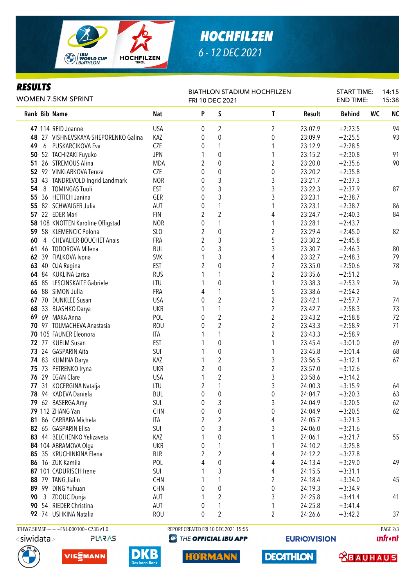

### *RESULTS*

| <b>HOCHFILZEN</b> |  |
|-------------------|--|
| 6 - 12 DEC 2021   |  |

| Kesulis<br>WOMEN 7.5KM SPRINT |              |                                              | <b>BIATHLON STADIUM HOCHFILZEN</b><br>FRI 10 DEC 2021 |                                      |                         |                         |         | <b>START TIME:</b><br><b>END TIME:</b> |           | 14:15<br>15:38 |  |
|-------------------------------|--------------|----------------------------------------------|-------------------------------------------------------|--------------------------------------|-------------------------|-------------------------|---------|----------------------------------------|-----------|----------------|--|
|                               |              | Rank Bib Name                                | <b>Nat</b>                                            | P                                    | S                       | T                       | Result  | <b>Behind</b>                          | <b>WC</b> | <b>NC</b>      |  |
|                               |              | 47 114 REID Joanne                           | <b>USA</b>                                            | 0                                    | 2                       | 2                       | 23:07.9 | $+2:23.5$                              |           | 94             |  |
|                               |              | 48 27 VISHNEVSKAYA-SHEPORENKO Galina         | KAZ                                                   | 0                                    | $\boldsymbol{0}$        | 0                       | 23:09.9 | $+2:25.5$                              |           | 93             |  |
| 49                            | 6            | PUSKARCIKOVA Eva                             | <b>CZE</b>                                            | 0                                    | 1                       | 1                       | 23:12.9 | $+2:28.5$                              |           |                |  |
|                               |              | 50 52 TACHIZAKI Fuyuko                       | <b>JPN</b>                                            | 1                                    | $\mathbf 0$             | 1                       | 23:15.2 | $+2:30.8$                              |           | 91             |  |
|                               |              | 51 26 STREMOUS Alina                         | MDA                                                   | 2                                    | $\pmb{0}$               | $\overline{2}$          | 23:20.0 | $+2:35.6$                              |           | 90             |  |
|                               |              | 52 92 VINKLARKOVA Tereza                     | <b>CZE</b>                                            | 0                                    | $\pmb{0}$               | 0                       | 23:20.2 | $+2:35.8$                              |           |                |  |
|                               |              | 53 43 TANDREVOLD Ingrid Landmark             | <b>NOR</b>                                            | 0                                    | $\mathfrak{Z}$          | 3                       | 23:21.7 | $+2:37.3$                              |           |                |  |
| 54                            | 8            | <b>TOMINGAS Tuuli</b>                        | <b>EST</b>                                            | 0                                    | 3                       | 3                       | 23:22.3 | $+2:37.9$                              |           | 87             |  |
| 55                            |              | 36 HETTICH Janina                            | GER                                                   | 0                                    | 3                       | 3                       | 23:23.1 | $+2:38.7$                              |           |                |  |
|                               |              | 55 82 SCHWAIGER Julia                        | AUT                                                   | 0                                    | 1                       | 1                       | 23:23.1 | $+2:38.7$                              |           | 86             |  |
|                               |              | 57 22 EDER Mari                              | <b>FIN</b>                                            | 2                                    | $\overline{2}$          | 4                       | 23:24.7 | $+2:40.3$                              |           | 84             |  |
|                               |              | 58 108 KNOTTEN Karoline Offigstad            | <b>NOR</b>                                            | 0                                    | 1                       | 1                       | 23:28.1 | $+2:43.7$                              |           |                |  |
|                               |              | 59 58 KLEMENCIC Polona                       | SLO                                                   | 2                                    | $\pmb{0}$               | $\overline{c}$          | 23:29.4 | $+2:45.0$                              |           | 82             |  |
| 60                            |              | 4 CHEVALIER-BOUCHET Anais                    | FRA                                                   | 2                                    | 3                       | 5                       | 23:30.2 | $+2:45.8$                              |           |                |  |
| 61                            |              | 46 TODOROVA Milena                           | <b>BUL</b>                                            | 0                                    | 3                       | 3                       | 23:30.7 | $+2:46.3$                              |           | 80             |  |
|                               |              | 62 39 FIALKOVA Ivona                         | <b>SVK</b>                                            |                                      | 3                       | 4                       | 23:32.7 | $+2:48.3$                              |           | 79             |  |
| 63                            |              | 40 OJA Regina                                | <b>EST</b>                                            | 2                                    | $\pmb{0}$               | $\overline{c}$          | 23:35.0 | $+2:50.6$                              |           | 78             |  |
|                               |              | 64 84 KUKLINA Larisa                         | <b>RUS</b>                                            | 1                                    | 1                       | $\overline{c}$          | 23:35.6 | $+2:51.2$                              |           |                |  |
| 65                            |              | 85 LESCINSKAITE Gabriele                     | LTU                                                   | 1                                    | $\pmb{0}$               | 1                       | 23:38.3 | $+2:53.9$                              |           | 76             |  |
| 66                            |              | 88 SIMON Julia                               | FRA                                                   | 4                                    | 1                       | 5                       | 23:38.6 | $+2:54.2$                              |           |                |  |
|                               |              | 67 70 DUNKLEE Susan                          | <b>USA</b>                                            | $\mathbf{0}$                         | $\overline{2}$          | $\overline{2}$          | 23:42.1 | $+2:57.7$                              |           | 74             |  |
| 68                            |              | 33 BLASHKO Darya                             | <b>UKR</b>                                            |                                      | $\mathbf{1}$            | $\overline{2}$          | 23:42.7 | $+2:58.3$                              |           | 73             |  |
|                               |              | 69 69 MAKA Anna                              | POL                                                   | $\mathbf{0}$                         | $\overline{2}$          | $\overline{2}$          | 23:43.2 | $+2:58.8$                              |           | 72             |  |
|                               |              | 70 97 TOLMACHEVA Anastasia                   | <b>ROU</b>                                            | 0                                    | $\overline{2}$          | $\overline{2}$          | 23:43.3 | $+2:58.9$                              |           | 71             |  |
|                               |              | 70 105 FAUNER Eleonora                       | ITA                                                   |                                      | 1                       | $\overline{2}$          | 23:43.3 | $+2:58.9$                              |           |                |  |
|                               |              | 72 77 KUELM Susan                            | <b>EST</b>                                            |                                      | $\pmb{0}$               | 1                       | 23:45.4 | $+3:01.0$                              |           | 69             |  |
|                               |              | 73 24 GASPARIN Aita                          | SUI                                                   |                                      | $\boldsymbol{0}$        | 1                       | 23:45.8 | $+3:01.4$                              |           | 68             |  |
|                               |              | 74 83 KLIMINA Darya                          | KAZ                                                   | 1                                    | $\overline{2}$          | 3                       | 23:56.5 | $+3:12.1$                              |           | 67             |  |
|                               |              | 75 73 PETRENKO Iryna                         | <b>UKR</b>                                            | $\overline{2}$                       | $\boldsymbol{0}$        | $\overline{2}$          | 23:57.0 | $+3:12.6$                              |           |                |  |
|                               |              | 76 29 EGAN Clare                             | <b>USA</b>                                            | 1                                    | $\overline{c}$          | 3                       | 23:58.6 | $+3:14.2$                              |           |                |  |
| 77                            | 31           | KOCERGINA Natalja                            | LTU                                                   | 2                                    | 1                       | 3                       | 24:00.3 | $+3:15.9$                              |           | 64             |  |
|                               |              | 78 94 KADEVA Daniela                         | <b>BUL</b>                                            | $\mathbf 0$                          | $\mathbf 0$             | 0                       | 24:04.7 | $+3:20.3$                              |           | 63             |  |
|                               |              | 79 62 BASERGA Amy                            | SUI                                                   | 0                                    | 3                       | 3                       | 24:04.9 | $+3:20.5$                              |           | 62             |  |
|                               |              | 79 112 ZHANG Yan                             | <b>CHN</b>                                            | 0                                    | $\pmb{0}$               | 0                       | 24:04.9 | $+3:20.5$                              |           | 62             |  |
|                               |              | 81 86 CARRARA Michela                        | ITA                                                   | 2                                    | $\sqrt{2}$              | 4                       | 24:05.7 | $+3:21.3$                              |           |                |  |
|                               |              | 82 65 GASPARIN Elisa                         | SUI                                                   | 0                                    | 3                       | 3                       | 24:06.0 | $+3:21.6$                              |           |                |  |
|                               |              | 83 44 BELCHENKO Yelizaveta                   | KAZ                                                   |                                      | $\boldsymbol{0}$        | 1                       | 24:06.1 | $+3:21.7$                              |           | 55             |  |
|                               |              | 84 104 ABRAMOVA Olga                         | <b>UKR</b>                                            | 0                                    | 1                       | 1                       | 24:10.2 | $+3:25.8$                              |           |                |  |
|                               |              | 85 35 KRUCHINKINA Elena                      | <b>BLR</b>                                            | $\overline{2}$                       | $\sqrt{2}$              | 4                       | 24:12.2 | $+3:27.8$                              |           |                |  |
|                               |              | 86 16 ZUK Kamila                             | POL                                                   | 4                                    | $\pmb{0}$               | 4                       | 24:13.4 | $+3:29.0$                              |           | 49             |  |
|                               |              | 87 101 CADURISCH Irene                       | SUI                                                   |                                      | 3                       | 4                       | 24:15.5 | $+3:31.1$                              |           |                |  |
|                               |              | 88 79 TANG Jialin                            | <b>CHN</b>                                            |                                      | 1                       | $\boldsymbol{2}$        | 24:18.4 | $+3:34.0$                              |           | 45             |  |
|                               |              | 89 99 DING Yuhuan                            | <b>CHN</b>                                            | 0                                    | $\mathbf{0}$            | 0                       | 24:19.3 | $+3:34.9$                              |           |                |  |
| 90                            | $\mathbf{3}$ | ZDOUC Dunja                                  | AUT                                                   |                                      | $\overline{\mathbf{c}}$ | 3                       | 24:25.8 | $+3:41.4$                              |           | 41             |  |
|                               |              | 90 54 RIEDER Christina                       | AUT                                                   | 0                                    | 1                       | 1                       | 24:25.8 | $+3:41.4$                              |           |                |  |
|                               |              | 92 74 USHKINA Natalia                        | <b>ROU</b>                                            | 0                                    | $\overline{2}$          | $\overline{\mathbf{c}}$ | 24:26.6 | $+3:42.2$                              |           | 37             |  |
|                               |              | BTHW7.5KMSP-----------FNL-000100-- C73B v1.0 |                                                       | REPORT CREATED FRI 10 DEC 2021 15:55 |                         |                         |         |                                        |           | PAGE 2/3       |  |

<siwidata>

**PLARAS** 







**@ THE OFFICIAL IBU APP** 

**HORMANN** 

**EURIOVISION** 

**DECATHLON** 

**unfront** 

**TRAUHAUS**